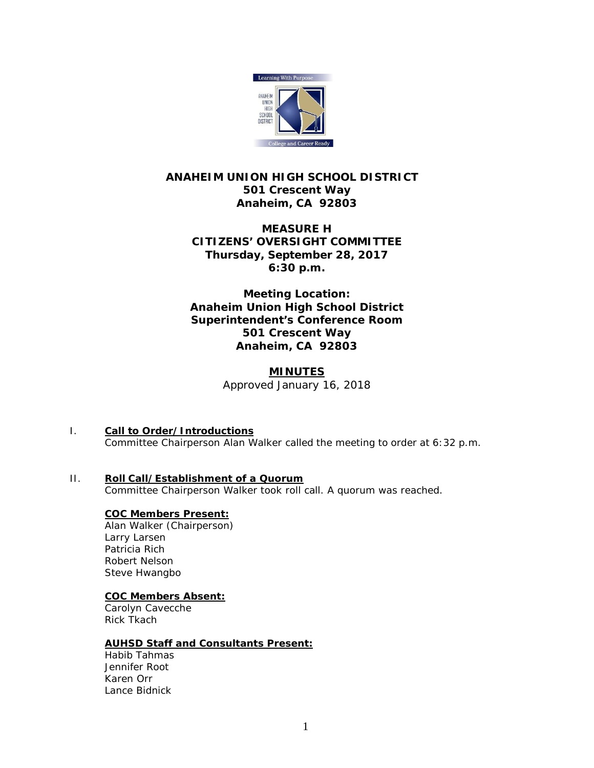

# **ANAHEIM UNION HIGH SCHOOL DISTRICT 501 Crescent Way Anaheim, CA 92803**

# **MEASURE H CITIZENS' OVERSIGHT COMMITTEE Thursday, September 28, 2017 6:30 p.m.**

## **Meeting Location: Anaheim Union High School District Superintendent's Conference Room 501 Crescent Way Anaheim, CA 92803**

# **MINUTES** *Approved January 16, 2018*

I. **Call to Order/Introductions** Committee Chairperson Alan Walker called the meeting to order at 6:32 p.m.

#### II. **Roll Call/Establishment of a Quorum** Committee Chairperson Walker took roll call. A quorum was reached.

## **COC Members Present:**

Alan Walker (Chairperson) Larry Larsen Patricia Rich Robert Nelson Steve Hwangbo

## **COC Members Absent:**

Carolyn Cavecche Rick Tkach

## **AUHSD Staff and Consultants Present:**

Habib Tahmas Jennifer Root Karen Orr Lance Bidnick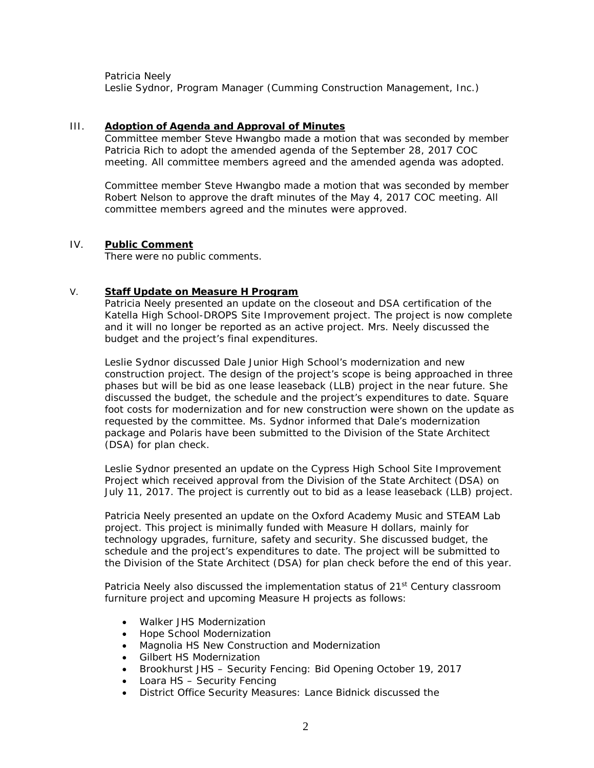Patricia Neely

Leslie Sydnor, Program Manager (Cumming Construction Management, Inc.)

#### III. **Adoption of Agenda and Approval of Minutes**

Committee member Steve Hwangbo made a motion that was seconded by member Patricia Rich to adopt the amended agenda of the September 28, 2017 COC meeting. All committee members agreed and the amended agenda was adopted.

Committee member Steve Hwangbo made a motion that was seconded by member Robert Nelson to approve the draft minutes of the May 4, 2017 COC meeting. All committee members agreed and the minutes were approved.

#### IV. **Public Comment**

There were no public comments.

## V. **Staff Update on Measure H Program**

Patricia Neely presented an update on the closeout and DSA certification of the Katella High School-DROPS Site Improvement project. The project is now complete and it will no longer be reported as an active project. Mrs. Neely discussed the budget and the project's final expenditures.

Leslie Sydnor discussed Dale Junior High School's modernization and new construction project. The design of the project's scope is being approached in three phases but will be bid as one lease leaseback (LLB) project in the near future. She discussed the budget, the schedule and the project's expenditures to date. Square foot costs for modernization and for new construction were shown on the update as requested by the committee. Ms. Sydnor informed that Dale's modernization package and Polaris have been submitted to the Division of the State Architect (DSA) for plan check.

Leslie Sydnor presented an update on the Cypress High School Site Improvement Project which received approval from the Division of the State Architect (DSA) on July 11, 2017. The project is currently out to bid as a lease leaseback (LLB) project.

Patricia Neely presented an update on the Oxford Academy Music and STEAM Lab project. This project is minimally funded with Measure H dollars, mainly for technology upgrades, furniture, safety and security. She discussed budget, the schedule and the project's expenditures to date. The project will be submitted to the Division of the State Architect (DSA) for plan check before the end of this year.

Patricia Neely also discussed the implementation status of 21<sup>st</sup> Century classroom furniture project and upcoming Measure H projects as follows:

- Walker JHS Modernization
- Hope School Modernization
- Magnolia HS New Construction and Modernization
- Gilbert HS Modernization
- Brookhurst JHS Security Fencing: *Bid Opening October 19, 2017*
- Loara HS Security Fencing
- District Office Security Measures: *Lance Bidnick discussed the*